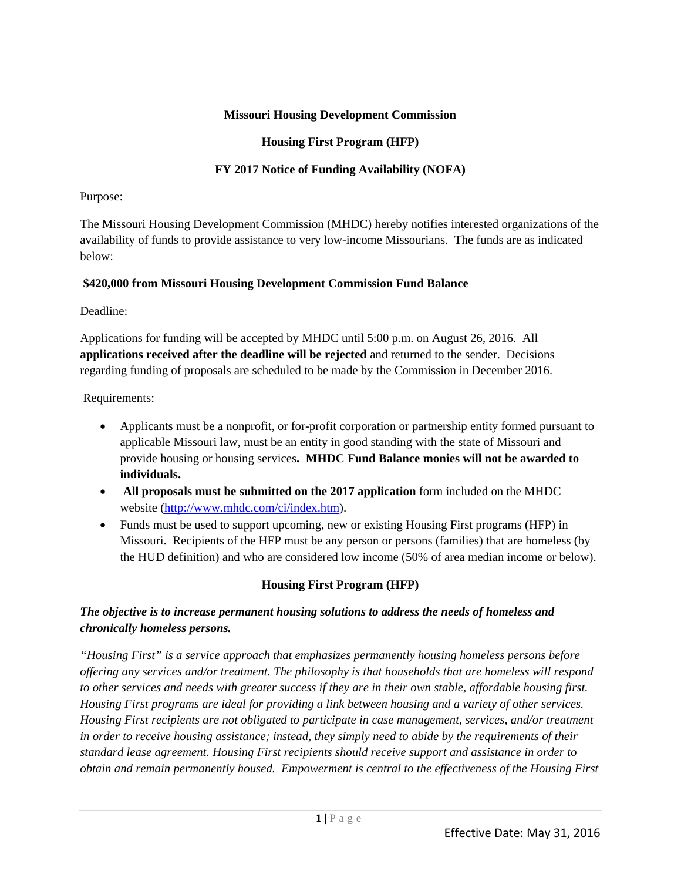## **Missouri Housing Development Commission**

## **Housing First Program (HFP)**

## **FY 2017 Notice of Funding Availability (NOFA)**

#### Purpose:

The Missouri Housing Development Commission (MHDC) hereby notifies interested organizations of the availability of funds to provide assistance to very low-income Missourians. The funds are as indicated below:

## **\$420,000 from Missouri Housing Development Commission Fund Balance**

Deadline:

Applications for funding will be accepted by MHDC until 5:00 p.m. on August 26, 2016. All **applications received after the deadline will be rejected** and returned to the sender. Decisions regarding funding of proposals are scheduled to be made by the Commission in December 2016.

## Requirements:

- Applicants must be a nonprofit, or for-profit corporation or partnership entity formed pursuant to applicable Missouri law, must be an entity in good standing with the state of Missouri and provide housing or housing services**. MHDC Fund Balance monies will not be awarded to individuals.**
- **All proposals must be submitted on the 2017 application** form included on the MHDC website (http://www.mhdc.com/ci/index.htm).
- Funds must be used to support upcoming, new or existing Housing First programs (HFP) in Missouri. Recipients of the HFP must be any person or persons (families) that are homeless (by the HUD definition) and who are considered low income (50% of area median income or below).

## **Housing First Program (HFP)**

# *The objective is to increase permanent housing solutions to address the needs of homeless and chronically homeless persons.*

*"Housing First" is a service approach that emphasizes permanently housing homeless persons before offering any services and/or treatment. The philosophy is that households that are homeless will respond to other services and needs with greater success if they are in their own stable, affordable housing first. Housing First programs are ideal for providing a link between housing and a variety of other services. Housing First recipients are not obligated to participate in case management, services, and/or treatment in order to receive housing assistance; instead, they simply need to abide by the requirements of their standard lease agreement. Housing First recipients should receive support and assistance in order to obtain and remain permanently housed. Empowerment is central to the effectiveness of the Housing First*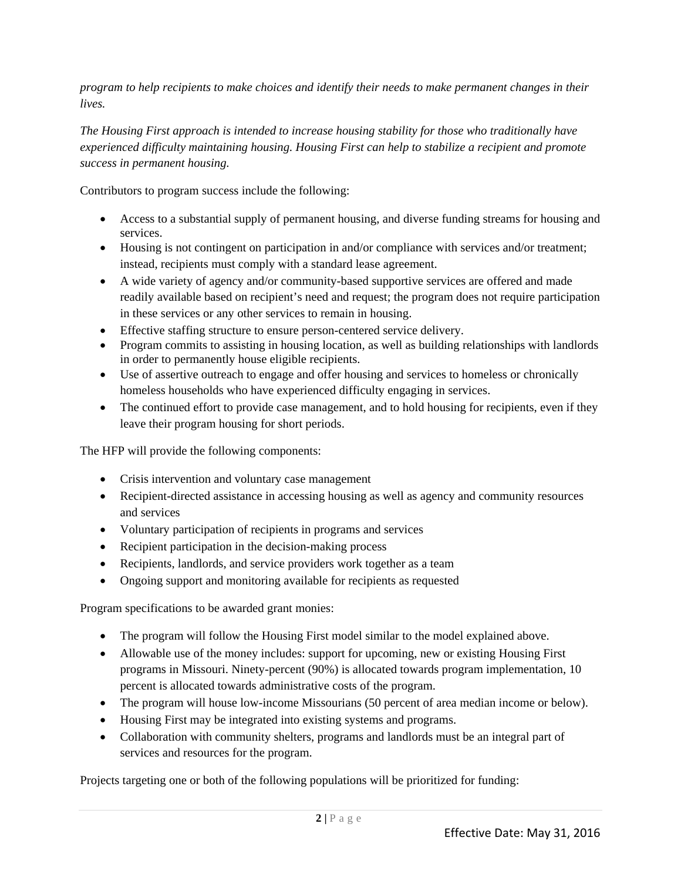*program to help recipients to make choices and identify their needs to make permanent changes in their lives.* 

*The Housing First approach is intended to increase housing stability for those who traditionally have experienced difficulty maintaining housing. Housing First can help to stabilize a recipient and promote success in permanent housing.* 

Contributors to program success include the following:

- Access to a substantial supply of permanent housing, and diverse funding streams for housing and services.
- Housing is not contingent on participation in and/or compliance with services and/or treatment; instead, recipients must comply with a standard lease agreement.
- A wide variety of agency and/or community-based supportive services are offered and made readily available based on recipient's need and request; the program does not require participation in these services or any other services to remain in housing.
- Effective staffing structure to ensure person-centered service delivery.
- Program commits to assisting in housing location, as well as building relationships with landlords in order to permanently house eligible recipients.
- Use of assertive outreach to engage and offer housing and services to homeless or chronically homeless households who have experienced difficulty engaging in services.
- The continued effort to provide case management, and to hold housing for recipients, even if they leave their program housing for short periods.

The HFP will provide the following components:

- Crisis intervention and voluntary case management
- Recipient-directed assistance in accessing housing as well as agency and community resources and services
- Voluntary participation of recipients in programs and services
- Recipient participation in the decision-making process
- Recipients, landlords, and service providers work together as a team
- Ongoing support and monitoring available for recipients as requested

Program specifications to be awarded grant monies:

- The program will follow the Housing First model similar to the model explained above.
- Allowable use of the money includes: support for upcoming, new or existing Housing First programs in Missouri. Ninety-percent (90%) is allocated towards program implementation, 10 percent is allocated towards administrative costs of the program.
- The program will house low-income Missourians (50 percent of area median income or below).
- Housing First may be integrated into existing systems and programs.
- Collaboration with community shelters, programs and landlords must be an integral part of services and resources for the program.

Projects targeting one or both of the following populations will be prioritized for funding: